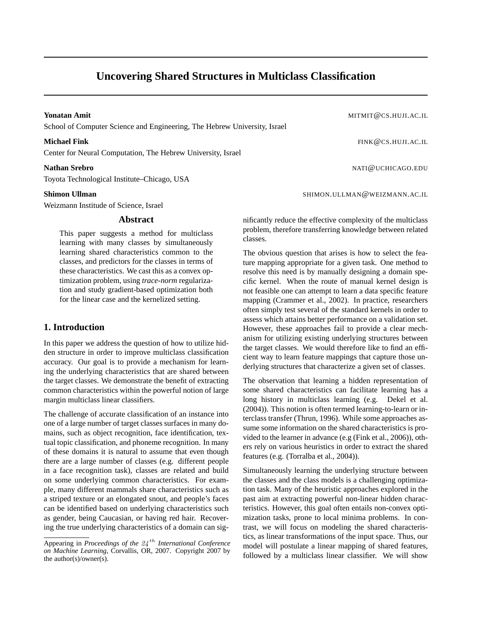# **Uncovering Shared Structures in Multiclass Classification**

**Yonatan Amit** MITMIT@CS.HUJI.AC.IL School of Computer Science and Engineering, The Hebrew University, Israel

Center for Neural Computation, The Hebrew University, Israel

Toyota Technological Institute–Chicago, USA

Weizmann Institude of Science, Israel

#### **Abstract**

This paper suggests a method for multiclass learning with many classes by simultaneously learning shared characteristics common to the classes, and predictors for the classes in terms of these characteristics. We cast this as a convex optimization problem, using *trace-norm* regularization and study gradient-based optimization both for the linear case and the kernelized setting.

# **1. Introduction**

In this paper we address the question of how to utilize hidden structure in order to improve multiclass classification accuracy. Our goal is to provide a mechanism for learning the underlying characteristics that are shared between the target classes. We demonstrate the benefit of extracting common characteristics within the powerful notion of large margin multiclass linear classifiers.

The challenge of accurate classification of an instance into one of a large number of target classes surfaces in many domains, such as object recognition, face identification, textual topic classification, and phoneme recognition. In many of these domains it is natural to assume that even though there are a large number of classes (e.g. different people in a face recognition task), classes are related and build on some underlying common characteristics. For example, many different mammals share characteristics such as a striped texture or an elongated snout, and people's faces can be identified based on underlying characteristics such as gender, being Caucasian, or having red hair. Recovering the true underlying characteristics of a domain can sig-

**Michael Fink** FINK@CS.HUJI.AC.IL

**Nathan Srebro** NATI@UCHICAGO.EDU

**Shimon Ullman** SHIMON.ULLMAN@WEIZMANN.AC.IL

nificantly reduce the effective complexity of the multiclass problem, therefore transferring knowledge between related classes.

The obvious question that arises is how to select the feature mapping appropriate for a given task. One method to resolve this need is by manually designing a domain specific kernel. When the route of manual kernel design is not feasible one can attempt to learn a data specific feature mapping (Crammer et al., 2002). In practice, researchers often simply test several of the standard kernels in order to assess which attains better performance on a validation set. However, these approaches fail to provide a clear mechanism for utilizing existing underlying structures between the target classes. We would therefore like to find an efficient way to learn feature mappings that capture those underlying structures that characterize a given set of classes.

The observation that learning a hidden representation of some shared characteristics can facilitate learning has a long history in multiclass learning (e.g. Dekel et al. (2004)). This notion is often termed learning-to-learn or interclass transfer (Thrun, 1996). While some approaches assume some information on the shared characteristics is provided to the learner in advance (e.g (Fink et al., 2006)), others rely on various heuristics in order to extract the shared features (e.g. (Torralba et al., 2004)).

Simultaneously learning the underlying structure between the classes and the class models is a challenging optimization task. Many of the heuristic approaches explored in the past aim at extracting powerful non-linear hidden characteristics. However, this goal often entails non-convex optimization tasks, prone to local minima problems. In contrast, we will focus on modeling the shared characteristics, as linear transformations of the input space. Thus, our model will postulate a linear mapping of shared features, followed by a multiclass linear classifier. We will show

Appearing in *Proceedings of the* 24 th *International Conference on Machine Learning*, Corvallis, OR, 2007. Copyright 2007 by the author(s)/owner(s).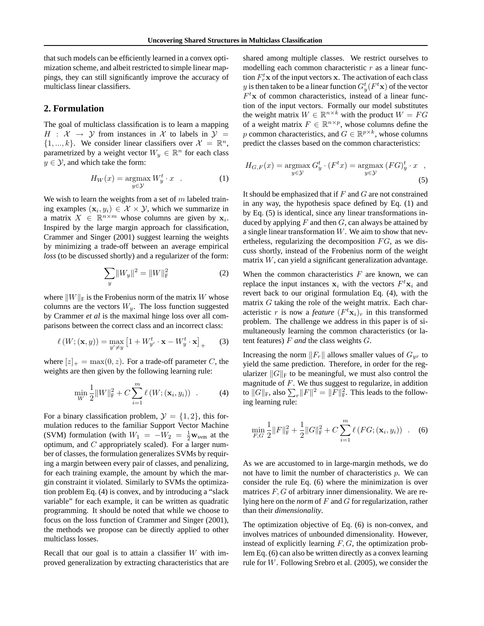that such models can be efficiently learned in a convex optimization scheme, and albeit restricted to simple linear mappings, they can still significantly improve the accuracy of multiclass linear classifiers.

# **2. Formulation**

The goal of multiclass classification is to learn a mapping  $H : \mathcal{X} \rightarrow \mathcal{Y}$  from instances in X to labels in  $\mathcal{Y} =$  $\{1, ..., k\}$ . We consider linear classifiers over  $\mathcal{X} = \mathbb{R}^n$ , parametrized by a weight vector  $W_y \in \mathbb{R}^n$  for each class  $y \in \mathcal{Y}$ , and which take the form:

$$
H_W(x) = \underset{y \in \mathcal{Y}}{\operatorname{argmax}} W_y^t \cdot x \quad . \tag{1}
$$

We wish to learn the weights from a set of  $m$  labeled training examples  $(\mathbf{x}_i, y_i) \in \mathcal{X} \times \mathcal{Y}$ , which we summarize in a matrix  $X \in \mathbb{R}^{n \times m}$  whose columns are given by  $x_i$ . Inspired by the large margin approach for classification, Crammer and Singer (2001) suggest learning the weights by minimizing a trade-off between an average empirical *loss* (to be discussed shortly) and a regularizer of the form:

$$
\sum_{y} \|W_y\|^2 = \|W\|_{\mathrm{F}}^2 \tag{2}
$$

where  $||W||_F$  is the Frobenius norm of the matrix W whose columns are the vectors  $W_y$ . The loss function suggested by Crammer *et al* is the maximal hinge loss over all comparisons between the correct class and an incorrect class:

$$
\ell(W; (\mathbf{x}, y)) = \max_{y' \neq y} \left[ 1 + W_{y'}^t \cdot \mathbf{x} - W_y^t \cdot \mathbf{x} \right]_+ \tag{3}
$$

where  $[z]_+ = \max(0, z)$ . For a trade-off parameter C, the weights are then given by the following learning rule:

$$
\min_{W} \frac{1}{2} ||W||_{\mathrm{F}}^{2} + C \sum_{i=1}^{m} \ell(W; (\mathbf{x}_{i}, y_{i})) . \tag{4}
$$

For a binary classification problem,  $\mathcal{Y} = \{1, 2\}$ , this formulation reduces to the familiar Support Vector Machine (SVM) formulation (with  $W_1 = -W_2 = \frac{1}{2}w_{\text{sym}}$  at the optimum, and  $C$  appropriately scaled). For a larger number of classes, the formulation generalizes SVMs by requiring a margin between every pair of classes, and penalizing, for each training example, the amount by which the margin constraint it violated. Similarly to SVMs the optimization problem Eq. (4) is convex, and by introducing a "slack variable" for each example, it can be written as quadratic programming. It should be noted that while we choose to focus on the loss function of Crammer and Singer (2001), the methods we propose can be directly applied to other multiclass losses.

Recall that our goal is to attain a classifier  $W$  with improved generalization by extracting characteristics that are shared among multiple classes. We restrict ourselves to modelling each common characteristic  $r$  as a linear function  $F_r^t$ **x** of the input vectors **x**. The activation of each class y is then taken to be a linear function  $G_y^t(F^t\mathbf{x})$  of the vector  $F^t$ **x** of common characteristics, instead of a linear function of the input vectors. Formally our model substitutes the weight matrix  $W \in \mathbb{R}^{n \times k}$  with the product  $W = FG$ of a weight matrix  $F \in \mathbb{R}^{n \times p}$ , whose columns define the p common characteristics, and  $G \in \mathbb{R}^{p \times k}$ , whose columns predict the classes based on the common characteristics:

$$
H_{G,F}(x) = \underset{y \in \mathcal{Y}}{\operatorname{argmax}} \, G_y^t \cdot (F^t x) = \underset{y \in \mathcal{Y}}{\operatorname{argmax}} \, (FG)_y^t \cdot x \quad , \tag{5}
$$

It should be emphasized that if  $F$  and  $G$  are not constrained in any way, the hypothesis space defined by Eq. (1) and by Eq. (5) is identical, since any linear transformations induced by applying  $F$  and then  $G$ , can always be attained by a single linear transformation  $W$ . We aim to show that nevertheless, regularizing the decomposition  $FG$ , as we discuss shortly, instead of the Frobenius norm of the weight matrix W, can yield a significant generalization advantage.

When the common characteristics  $F$  are known, we can replace the input instances  $x_i$  with the vectors  $F^t x_i$  and revert back to our original formulation Eq. (4), with the matrix  $G$  taking the role of the weight matrix. Each characteristic r is now a *feature*  $(F^t \mathbf{x}_i)_r$  in this transformed problem. The challenge we address in this paper is of simultaneously learning the common characteristics (or latent features) F *and* the class weights G.

Increasing the norm  $||F_r||$  allows smaller values of  $G_{yr}$  to yield the same prediction. Therefore, in order for the regularizer  $||G||_F$  to be meaningful, we must also control the magnitude of  $F$ . We thus suggest to regularize, in addition to  $||G||_F$ , also  $\sum_r ||F||^2 = ||F||_F^2$ . This leads to the following learning rule:

$$
\min_{F,G} \frac{1}{2} ||F||_{\mathrm{F}}^2 + \frac{1}{2} ||G||_{\mathrm{F}}^2 + C \sum_{i=1}^m \ell\left(FG; (\mathbf{x}_i, y_i)\right) . \tag{6}
$$

As we are accustomed to in large-margin methods, we do not have to limit the number of characteristics  $p$ . We can consider the rule Eq. (6) where the minimization is over matrices  $F, G$  of arbitrary inner dimensionality. We are relying here on the *norm* of F and G for regularization, rather than their *dimensionality*.

The optimization objective of Eq. (6) is non-convex, and involves matrices of unbounded dimensionality. However, instead of explicitly learning  $F, G$ , the optimization problem Eq. (6) can also be written directly as a convex learning rule for W. Following Srebro et al. (2005), we consider the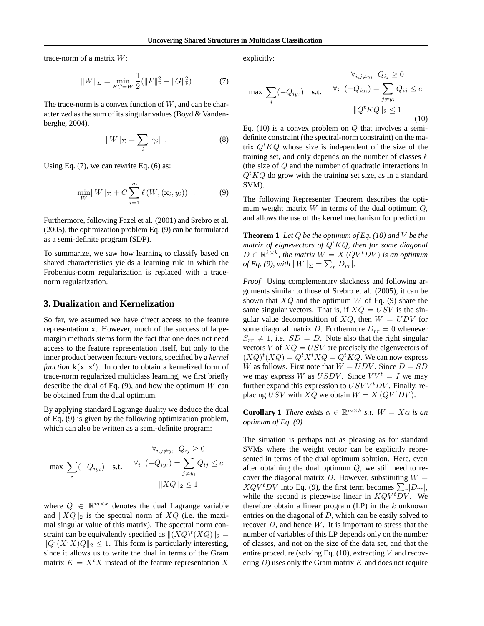trace-norm of a matrix W:

$$
||W||_{\Sigma} = \min_{FG=W} \frac{1}{2} (||F||_{\mathrm{F}}^{2} + ||G||_{\mathrm{F}}^{2})
$$
 (7)

The trace-norm is a convex function of  $W$ , and can be characterized as the sum of its singular values (Boyd & Vandenberghe, 2004).

$$
||W||_{\Sigma} = \sum_{i} |\gamma_i| \quad , \tag{8}
$$

Using Eq.  $(7)$ , we can rewrite Eq.  $(6)$  as:

$$
\min_{W} \lVert W \rVert_{\Sigma} + C \sum_{i=1}^{m} \ell \left( W; (\mathbf{x}_i, y_i) \right) . \tag{9}
$$

Furthermore, following Fazel et al. (2001) and Srebro et al. (2005), the optimization problem Eq. (9) can be formulated as a semi-definite program (SDP).

To summarize, we saw how learning to classify based on shared characteristics yields a learning rule in which the Frobenius-norm regularization is replaced with a tracenorm regularization.

### **3. Dualization and Kernelization**

So far, we assumed we have direct access to the feature representation x. However, much of the success of largemargin methods stems form the fact that one does not need access to the feature representation itself, but only to the inner product between feature vectors, specified by a *kernel function*  $k(x, x')$ . In order to obtain a kernelized form of trace-norm regularized multiclass learning, we first briefly describe the dual of Eq.  $(9)$ , and how the optimum W can be obtained from the dual optimum.

By applying standard Lagrange duality we deduce the dual of Eq. (9) is given by the following optimization problem, which can also be written as a semi-definite program:

$$
\forall_{i,j \neq y_i} Q_{ij} \ge 0
$$
  

$$
\max \sum_{i} (-Q_{iy_i}) \quad \text{s.t.} \quad \forall_i \ (-Q_{iy_i}) = \sum_{j \neq y_i} Q_{ij} \le c
$$
  

$$
||XQ||_2 \le 1
$$

where  $Q \in \mathbb{R}^{m \times k}$  denotes the dual Lagrange variable and  $||XQ||_2$  is the spectral norm of  $XQ$  (i.e. the maximal singular value of this matrix). The spectral norm constraint can be equivalently specified as  $||(XQ)^t(XQ)||_2 =$  $||Q^t(X^t X)Q||_2 \leq 1$ . This form is particularly interesting, since it allows us to write the dual in terms of the Gram matrix  $K = X<sup>t</sup> X$  instead of the feature representation X explicitly:

$$
\forall_{i,j \neq y_i} Q_{ij} \ge 0
$$
  

$$
\max \sum_{i} (-Q_{iy_i}) \quad \text{s.t.} \quad \forall_i \ (-Q_{iy_i}) = \sum_{j \neq y_i} Q_{ij} \le c
$$
  

$$
||Q^t K Q||_2 \le 1
$$
 (10)

Eq. (10) is a convex problem on  $Q$  that involves a semidefinite constraint (the spectral-norm constraint) on the matrix  $Q^t K Q$  whose size is independent of the size of the training set, and only depends on the number of classes  $k$ (the size of Q and the number of quadratic interactions in  $Q^t KQ$  do grow with the training set size, as in a standard SVM).

The following Representer Theorem describes the optimum weight matrix  $W$  in terms of the dual optimum  $Q$ , and allows the use of the kernel mechanism for prediction.

**Theorem 1** *Let* Q *be the optimum of Eq. (10) and* V *be the matrix of eignevectors of* Q′KQ*, then for some diagonal*  $D \in \mathbb{R}^{k \times k}$ , the matrix  $W = X (QV^t DV)$  is an optimum *of Eq. (9), with*  $||W||_{\Sigma} = \sum_{r} |D_{rr}|$ .

*Proof* Using complementary slackness and following arguments similar to those of Srebro et al. (2005), it can be shown that  $XQ$  and the optimum W of Eq. (9) share the same singular vectors. That is, if  $XQ = USV$  is the singular value decomposition of  $XQ$ , then  $W = UDV$  for some diagonal matrix D. Furthermore  $D_{rr} = 0$  whenever  $S_{rr} \neq 1$ , i.e.  $SD = D$ . Note also that the right singular vectors V of  $XQ = USV$  are precisely the eigenvectors of  $(XQ)^t(XQ) = Q^t X^t X Q = Q^t K Q$ . We can now express W as follows. First note that  $W = UDV$ . Since  $D = SD$ we may express W as USDV. Since  $VV^t = I$  we may further expand this expression to  $USVV<sup>t</sup> DV$ . Finally, replacing USV with  $XQ$  we obtain  $W = X \left(QV^t D V\right)$ .

**Corollary 1** *There exists*  $\alpha \in \mathbb{R}^{m \times k}$  *s.t.*  $W = X\alpha$  *is an optimum of Eq. (9)*

The situation is perhaps not as pleasing as for standard SVMs where the weight vector can be explicitly represented in terms of the dual optimum solution. Here, even after obtaining the dual optimum Q, we still need to recover the diagonal matrix  $D$ . However, substituting  $W =$  $XQV^tDV$  into Eq. (9), the first term becomes  $\sum_{r} |D_{rr}|$ , while the second is piecewise linear in  $KQV^tDV$ . We therefore obtain a linear program  $(LP)$  in the k unknown entries on the diagonal of D, which can be easily solved to recover  $D$ , and hence  $W$ . It is important to stress that the number of variables of this LP depends only on the number of classes, and not on the size of the data set, and that the entire procedure (solving Eq.  $(10)$ , extracting V and recovering  $D$ ) uses only the Gram matrix  $K$  and does not require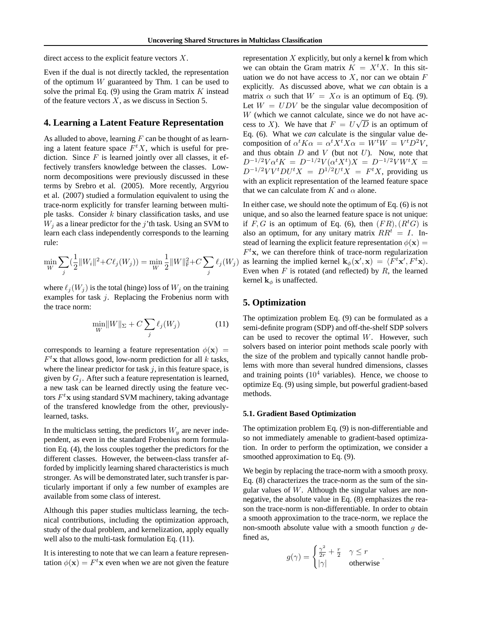direct access to the explicit feature vectors X.

Even if the dual is not directly tackled, the representation of the optimum  $W$  guaranteed by Thm. 1 can be used to solve the primal Eq.  $(9)$  using the Gram matrix K instead of the feature vectors  $X$ , as we discuss in Section 5.

# **4. Learning a Latent Feature Representation**

As alluded to above, learning  $F$  can be thought of as learning a latent feature space  $F<sup>t</sup>X$ , which is useful for prediction. Since  $F$  is learned jointly over all classes, it effectively transfers knowledge between the classes. Lownorm decompositions were previously discussed in these terms by Srebro et al. (2005). More recently, Argyriou et al. (2007) studied a formulation equivalent to using the trace-norm explicitly for transfer learning between multiple tasks. Consider  $k$  binary classification tasks, and use  $W_i$  as a linear predictor for the j'th task. Using an SVM to learn each class independently corresponds to the learning rule:

$$
\min_{W} \sum_{j} \left(\frac{1}{2} ||W_i||^2 + C\ell_j(W_j)\right) = \min_{W} \frac{1}{2} ||W||_{\mathrm{F}}^2 + C \sum_{j} \ell_j(W_j)
$$

where  $\ell_i(W_j)$  is the total (hinge) loss of  $W_j$  on the training examples for task  $j$ . Replacing the Frobenius norm with the trace norm:

$$
\min_{W} \|W\|_{\Sigma} + C \sum_{j} \ell_j(W_j)
$$
\n(11)

corresponds to learning a feature representation  $\phi(\mathbf{x})$  =  $F<sup>t</sup>$ **x** that allows good, low-norm prediction for all k tasks, where the linear predictor for task  $j$ , in this feature space, is given by  $G_i$ . After such a feature representation is learned, a new task can be learned directly using the feature vectors  $F^t$ x using standard SVM machinery, taking advantage of the transfered knowledge from the other, previouslylearned, tasks.

In the multiclass setting, the predictors  $W_y$  are never independent, as even in the standard Frobenius norm formulation Eq. (4), the loss couples together the predictors for the different classes. However, the between-class transfer afforded by implicitly learning shared characteristics is much stronger. As will be demonstrated later, such transfer is particularly important if only a few number of examples are available from some class of interest.

Although this paper studies multiclass learning, the technical contributions, including the optimization approach, study of the dual problem, and kernelization, apply equally well also to the multi-task formulation Eq. (11).

It is interesting to note that we can learn a feature representation  $\phi(\mathbf{x}) = F^t \mathbf{x}$  even when we are not given the feature representation  $X$  explicitly, but only a kernel  $k$  from which we can obtain the Gram matrix  $K = X<sup>t</sup>X$ . In this situation we do not have access to  $X$ , nor can we obtain  $F$ explicitly. As discussed above, what we *can* obtain is a matrix  $\alpha$  such that  $W = X\alpha$  is an optimum of Eq. (9). Let  $W = UDV$  be the singular value decomposition of  $W$  (which we cannot calculate, since we do not have access to X). We have that  $F = U\sqrt{D}$  is an optimum of Eq. (6). What we *can* calculate is the singular value decomposition of  $\alpha^t K \alpha = \alpha^t X^t X \alpha = W^t W = V^t D^2 V$ , and thus obtain  $D$  and  $V$  (but not  $U$ ). Now, note that  $D^{-1/2}V\alpha^t K = D^{-1/2}V(\alpha^t X^t)X = D^{-1/2}VW^t X =$  $D^{-1/2}VV^tDU^tX = D^{1/2}U^tX = F^tX$ , providing us with an explicit representation of the learned feature space that we can calculate from  $K$  and  $\alpha$  alone.

In either case, we should note the optimum of Eq. (6) is not unique, and so also the learned feature space is not unique: if F, G is an optimum of Eq. (6), then  $(FR)$ ,  $(R<sup>t</sup>G)$  is also an optimum, for any unitary matrix  $RR<sup>t</sup> = I$ . Instead of learning the explicit feature representation  $\phi(\mathbf{x}) =$  $F<sup>t</sup>$ x, we can therefore think of trace-norm regularization as learning the implied kernel  $\mathbf{k}_{\phi}(\mathbf{x}', \mathbf{x}) = \langle F^t \mathbf{x}', F^t \mathbf{x} \rangle$ . Even when  $F$  is rotated (and reflected) by  $R$ , the learned kernel  $\mathbf{k}_{\phi}$  is unaffected.

## **5. Optimization**

The optimization problem Eq. (9) can be formulated as a semi-definite program (SDP) and off-the-shelf SDP solvers can be used to recover the optimal  $W$ . However, such solvers based on interior point methods scale poorly with the size of the problem and typically cannot handle problems with more than several hundred dimensions, classes and training points  $(10^4 \text{ variables})$ . Hence, we choose to optimize Eq. (9) using simple, but powerful gradient-based methods.

#### **5.1. Gradient Based Optimization**

The optimization problem Eq. (9) is non-differentiable and so not immediately amenable to gradient-based optimization. In order to perform the optimization, we consider a smoothed approximation to Eq. (9).

We begin by replacing the trace-norm with a smooth proxy. Eq. (8) characterizes the trace-norm as the sum of the singular values of  $W$ . Although the singular values are nonnegative, the absolute value in Eq. (8) emphasizes the reason the trace-norm is non-differentiable. In order to obtain a smooth approximation to the trace-norm, we replace the non-smooth absolute value with a smooth function  $q$  defined as,

$$
g(\gamma) = \begin{cases} \frac{\gamma^2}{2r} + \frac{r}{2} & \gamma \le r \\ |\gamma| & \text{otherwise} \end{cases}.
$$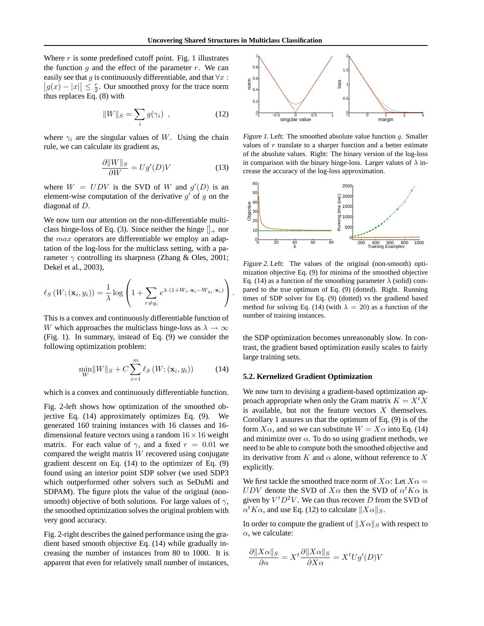Where  $r$  is some predefined cutoff point. Fig. 1 illustrates the function  $g$  and the effect of the parameter  $r$ . We can easily see that g is continuously differentiable, and that  $\forall x$ :  $\left| g(x) - |x| \right| \leq \frac{r}{2}$ . Our smoothed proxy for the trace norm thus replaces Eq. (8) with

$$
||W||_S = \sum_i g(\gamma_i) \tag{12}
$$

where  $\gamma_i$  are the singular values of W. Using the chain rule, we can calculate its gradient as,

$$
\frac{\partial \|W\|_S}{\partial W} = Ug'(D)V\tag{13}
$$

where  $W = UDV$  is the SVD of W and  $g'(D)$  is an element-wise computation of the derivative  $g'$  of  $g$  on the diagonal of D.

We now turn our attention on the non-differentiable multiclass hinge-loss of Eq. (3). Since neither the hinge  $\parallel_{+}$  nor the *max* operators are differentiable we employ an adaptation of the log-loss for the multiclass setting, with a parameter  $\gamma$  controlling its sharpness (Zhang & Oles, 2001; Dekel et al., 2003),

$$
\ell_{S}\left(W; (\mathbf{x}_{i}, y_{i})\right) = \frac{1}{\lambda} \log \left(1 + \sum_{r \neq y_{i}} e^{\lambda \cdot (1 + W_{r} \cdot \mathbf{x}_{i} - W_{y_{i}} \cdot \mathbf{x}_{i})}\right).
$$

This is a convex and continuously differentiable function of W which approaches the multiclass hinge-loss as  $\lambda \to \infty$ (Fig. 1). In summary, instead of Eq. (9) we consider the following optimization problem:

$$
\min_{W} \left\|W\right\|_{S} + C \sum_{i=1}^{m} \ell_{S}\left(W; (\mathbf{x}_{i}, y_{i})\right) \tag{14}
$$

which is a convex and continuously differentiable function.

Fig. 2-left shows how optimization of the smoothed objective Eq. (14) approximately optimizes Eq. (9). We generated 160 training instances with 16 classes and 16 dimensional feature vectors using a random  $16 \times 16$  weight matrix. For each value of  $\gamma$ , and a fixed  $r = 0.01$  we compared the weight matrix W recovered using conjugate gradient descent on Eq. (14) to the optimizer of Eq. (9) found using an interior point SDP solver (we used SDP3 which outperformed other solvers such as SeDuMi and SDPAM). The figure plots the value of the original (nonsmooth) objective of both solutions. For large values of  $\gamma$ , the smoothed optimization solves the original problem with very good accuracy.

Fig. 2-right describes the gained performance using the gradient based smooth objective Eq. (14) while gradually increasing the number of instances from 80 to 1000. It is apparent that even for relatively small number of instances,



Figure 1. Left: The smoothed absolute value function  $g$ . Smaller values of  $r$  translate to a sharper function and a better estimate of the absolute values. Right: The binary version of the log-loss in comparison with the binary hinge-loss. Larger values of  $\lambda$  increase the accuracy of the log-loss approximation.



Figure 2. Left: The values of the original (non-smooth) optimization objective Eq. (9) for minima of the smoothed objective Eq. (14) as a function of the smoothing parameter  $\lambda$  (solid) compared to the true optimum of Eq. (9) (dotted). Right. Running times of SDP solver for Eq. (9) (dotted) vs the gradiend based method for solving Eq. (14) (with  $\lambda = 20$ ) as a function of the number of training instances.

the SDP optimization becomes unreasonably slow. In contrast, the gradient based optimization easily scales to fairly large training sets.

#### **5.2. Kernelized Gradient Optimization**

We now turn to devising a gradient-based optimization approach appropriate when only the Gram matrix  $K = X<sup>t</sup> X$ is available, but not the feature vectors  $X$  themselves. Corollary 1 assures us that the optimum of Eq. (9) is of the form  $X\alpha$ , and so we can substitute  $W = X\alpha$  into Eq. (14) and minimize over  $\alpha$ . To do so using gradient methods, we need to be able to compute both the smoothed objective and its derivative from K and  $\alpha$  alone, without reference to X explicitly.

We first tackle the smoothed trace norm of  $X\alpha$ : Let  $X\alpha$  = UDV denote the SVD of  $X\alpha$  then the SVD of  $\alpha^t K\alpha$  is given by  $V^t D^2 V$ . We can thus recover D from the SVD of  $\alpha^t K \alpha$ , and use Eq. (12) to calculate  $||X\alpha||_S$ .

In order to compute the gradient of  $\|X\alpha\|_S$  with respect to  $\alpha$ , we calculate:

$$
\frac{\partial ||X\alpha||_S}{\partial \alpha} = X^t \frac{\partial ||X\alpha||_S}{\partial X\alpha} = X^t U g'(D)V
$$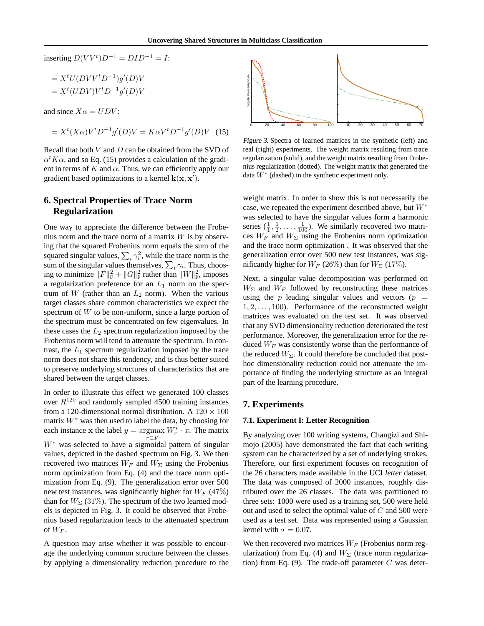inserting  $D(VV^t)D^{-1} = DID^{-1} = I$ :

$$
= XtU(DVVtD-1)g'(D)V
$$

$$
= Xt(UDV)VtD-1g'(D)V
$$

and since  $X\alpha = UDV$ :

$$
= X^{t}(X\alpha)V^{t}D^{-1}g'(D)V = K\alpha V^{t}D^{-1}g'(D)V \quad (15)
$$

Recall that both  $V$  and  $D$  can be obtained from the SVD of  $\alpha^t K \alpha$ , and so Eq. (15) provides a calculation of the gradient in terms of K and  $\alpha$ . Thus, we can efficiently apply our gradient based optimizations to a kernel  $\mathbf{k}(\mathbf{x}, \mathbf{x}')$ .

# **6. Spectral Properties of Trace Norm Regularization**

One way to appreciate the difference between the Frobenius norm and the trace norm of a matrix  $W$  is by observing that the squared Frobenius norm equals the sum of the squared singular values,  $\sum_i \gamma_i^2$ , while the trace norm is the sum of the singular values themselves,  $\sum_i \gamma_i$ . Thus, choosing to minimize  $||F||_F^2 + ||G||_F^2$  rather than  $||W||_F^2$ , imposes a regularization preference for an  $L_1$  norm on the spectrum of W (rather than an  $L_2$  norm). When the various target classes share common characteristics we expect the spectrum of  $W$  to be non-uniform, since a large portion of the spectrum must be concentrated on few eigenvalues. In these cases the  $L_2$  spectrum regularization imposed by the Frobenius norm will tend to attenuate the spectrum. In contrast, the  $L_1$  spectrum regularization imposed by the trace norm does not share this tendency, and is thus better suited to preserve underlying structures of characteristics that are shared between the target classes.

In order to illustrate this effect we generated 100 classes over  $R^{120}$  and randomly sampled 4500 training instances from a 120-dimensional normal distribution. A  $120 \times 100$ matrix  $W^*$  was then used to label the data, by choosing for each instance x the label  $y = \underset{y \in \mathcal{N}}{\operatorname{argmax}} W_r^* \cdot x$ . The matrix  $r \in \mathcal{Y}$ W<sup>∗</sup> was selected to have a sigmoidal pattern of singular values, depicted in the dashed spectrum on Fig. 3. We then recovered two matrices  $W_F$  and  $W_\Sigma$  using the Frobenius norm optimization from Eq. (4) and the trace norm optimization from Eq. (9). The generalization error over 500 new test instances, was significantly higher for  $W_F$  (47%) than for  $W_{\Sigma}$  (31%). The spectrum of the two learned models is depicted in Fig. 3. It could be observed that Frobenius based regularization leads to the attenuated spectrum of  $W_F$ .

A question may arise whether it was possible to encourage the underlying common structure between the classes by applying a dimensionality reduction procedure to the



Figure 3. Spectra of learned matrices in the synthetic (left) and real (right) experiments. The weight matrix resulting from trace regularization (solid), and the weight matrix resulting from Frobenius regularization (dotted). The weight matrix that generated the data  $W^*$  (dashed) in the synthetic experiment only.

weight matrix. In order to show this is not necessarily the case, we repeated the experiment described above, but  $W^*$ was selected to have the singular values form a harmonic series  $(\frac{1}{1}, \frac{1}{2}, \dots, \frac{1}{100})$ . We similarly recovered two matrices  $W_F$  and  $W_{\Sigma}$  using the Frobenius norm optimization and the trace norm optimization . It was observed that the generalization error over 500 new test instances, was significantly higher for  $W_F$  (26%) than for  $W_\Sigma$  (17%).

Next, a singular value decomposition was performed on  $W_{\Sigma}$  and  $W_{F}$  followed by reconstructing these matrices using the p leading singular values and vectors  $(p =$  $1, 2, \ldots, 100$ . Performance of the reconstructed weight matrices was evaluated on the test set. It was observed that any SVD dimensionality reduction deteriorated the test performance. Moreover, the generalization error for the reduced  $W_F$  was consistently worse than the performance of the reduced  $W_{\Sigma}$ . It could therefore be concluded that posthoc dimensionality reduction could not attenuate the importance of finding the underlying structure as an integral part of the learning procedure.

### **7. Experiments**

#### **7.1. Experiment I: Letter Recognition**

By analyzing over 100 writing systems, Changizi and Shimojo (2005) have demonstrated the fact that each writing system can be characterized by a set of underlying strokes. Therefore, our first experiment focuses on recognition of the 26 characters made available in the UCI *letter* dataset. The data was composed of 2000 instances, roughly distributed over the 26 classes. The data was partitioned to three sets: 1000 were used as a training set, 500 were held out and used to select the optimal value of  $C$  and 500 were used as a test set. Data was represented using a Gaussian kernel with  $\sigma = 0.07$ .

We then recovered two matrices  $W_F$  (Frobenius norm regularization) from Eq. (4) and  $W_{\Sigma}$  (trace norm regularization) from Eq. (9). The trade-off parameter  $C$  was deter-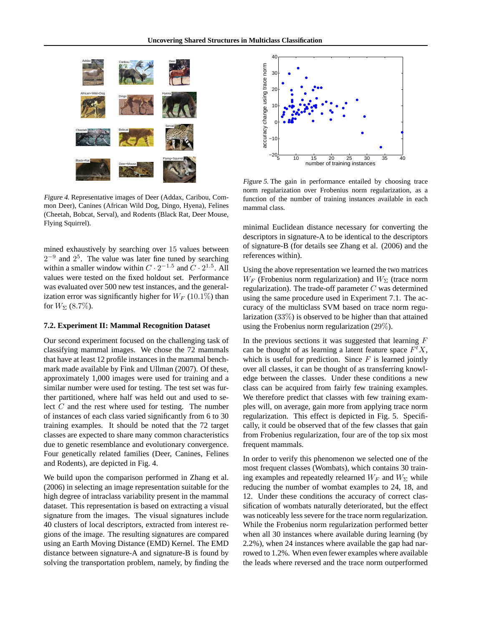

Figure 4. Representative images of Deer (Addax, Caribou, Common Deer), Canines (African Wild Dog, Dingo, Hyena), Felines (Cheetah, Bobcat, Serval), and Rodents (Black Rat, Deer Mouse, Flying Squirrel).

mined exhaustively by searching over 15 values between  $2^{-9}$  and  $2^5$ . The value was later fine tuned by searching within a smaller window within  $C \cdot 2^{-1.5}$  and  $C \cdot 2^{1.5}$ . All values were tested on the fixed holdout set. Performance was evaluated over 500 new test instances, and the generalization error was significantly higher for  $W_F$  (10.1%) than for  $W_{\Sigma}$  (8.7%).

#### **7.2. Experiment II: Mammal Recognition Dataset**

Our second experiment focused on the challenging task of classifying mammal images. We chose the 72 mammals that have at least 12 profile instances in the mammal benchmark made available by Fink and Ullman (2007). Of these, approximately 1,000 images were used for training and a similar number were used for testing. The test set was further partitioned, where half was held out and used to select C and the rest where used for testing. The number of instances of each class varied significantly from 6 to 30 training examples. It should be noted that the 72 target classes are expected to share many common characteristics due to genetic resemblance and evolutionary convergence. Four genetically related families (Deer, Canines, Felines and Rodents), are depicted in Fig. 4.

We build upon the comparison performed in Zhang et al. (2006) in selecting an image representation suitable for the high degree of intraclass variability present in the mammal dataset. This representation is based on extracting a visual signature from the images. The visual signatures include 40 clusters of local descriptors, extracted from interest regions of the image. The resulting signatures are compared using an Earth Moving Distance (EMD) Kernel. The EMD distance between signature-A and signature-B is found by solving the transportation problem, namely, by finding the



Figure 5. The gain in performance entailed by choosing trace norm regularization over Frobenius norm regularization, as a function of the number of training instances available in each mammal class.

minimal Euclidean distance necessary for converting the descriptors in signature-A to be identical to the descriptors of signature-B (for details see Zhang et al. (2006) and the references within).

Using the above representation we learned the two matrices  $W_F$  (Frobenius norm regularization) and  $W_{\Sigma}$  (trace norm regularization). The trade-off parameter  $C$  was determined using the same procedure used in Experiment 7.1. The accuracy of the multiclass SVM based on trace norm regularization (33%) is observed to be higher than that attained using the Frobenius norm regularization (29%).

In the previous sections it was suggested that learning  $F$ can be thought of as learning a latent feature space  $F<sup>t</sup>X$ , which is useful for prediction. Since  $F$  is learned jointly over all classes, it can be thought of as transferring knowledge between the classes. Under these conditions a new class can be acquired from fairly few training examples. We therefore predict that classes with few training examples will, on average, gain more from applying trace norm regularization. This effect is depicted in Fig. 5. Specifically, it could be observed that of the few classes that gain from Frobenius regularization, four are of the top six most frequent mammals.

In order to verify this phenomenon we selected one of the most frequent classes (Wombats), which contains 30 training examples and repeatedly relearned  $W_F$  and  $W_\Sigma$  while reducing the number of wombat examples to 24, 18, and 12. Under these conditions the accuracy of correct classification of wombats naturally deteriorated, but the effect was noticeably less severe for the trace norm regularization. While the Frobenius norm regularization performed better when all 30 instances where available during learning (by 2.2%), when 24 instances where available the gap had narrowed to 1.2%. When even fewer examples where available the leads where reversed and the trace norm outperformed